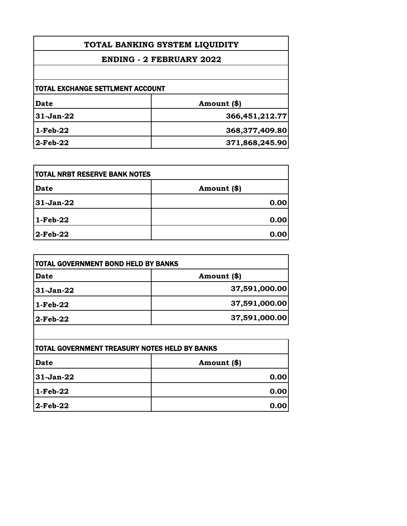| TOTAL BANKING SYSTEM LIQUIDITY<br><b>ENDING - 2 FEBRUARY 2022</b> |                |
|-------------------------------------------------------------------|----------------|
|                                                                   |                |
| <b>TOTAL EXCHANGE SETTLMENT ACCOUNT</b>                           |                |
| Date                                                              | Amount (\$)    |
| $31-Jan-22$                                                       | 366,451,212.77 |
| $1-Feb-22$                                                        | 368,377,409.80 |
| $2$ -Feb-22                                                       | 371,868,245.90 |

| <b>TOTAL NRBT RESERVE BANK NOTES</b> |             |
|--------------------------------------|-------------|
| <b>Date</b>                          | Amount (\$) |
| 31-Jan-22                            | 0.00        |
| 1-Feb-22                             | 0.00        |
| $2$ -Feb-22                          | 0.00        |

| TOTAL GOVERNMENT BOND HELD BY BANKS |               |
|-------------------------------------|---------------|
| <b>Date</b>                         | Amount (\$)   |
| $31-Jan-22$                         | 37,591,000.00 |
| $1-Feb-22$                          | 37,591,000.00 |
| 2-Feb-22                            | 37,591,000.00 |
|                                     |               |

| <b>TOTAL GOVERNMENT TREASURY NOTES HELD BY BANKS</b> |             |
|------------------------------------------------------|-------------|
| Date                                                 | Amount (\$) |
| 31-Jan-22                                            | 0.00        |
| $1-Feb-22$                                           | 0.00        |
| $ 2-Feb-22 $                                         | 0.00        |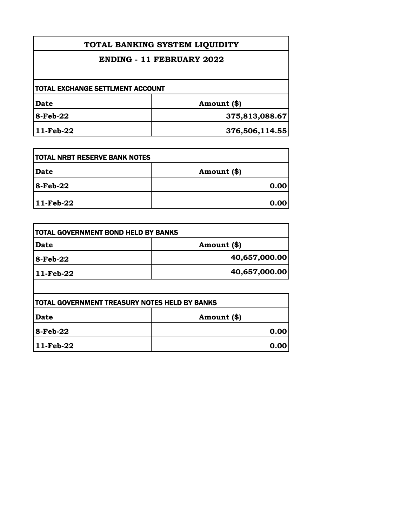| TOTAL BANKING SYSTEM LIQUIDITY<br><b>ENDING - 11 FEBRUARY 2022</b> |                |
|--------------------------------------------------------------------|----------------|
|                                                                    |                |
| <b>TOTAL EXCHANGE SETTLMENT ACCOUNT</b>                            |                |
| Date                                                               | Amount (\$)    |
| <b>8-Feb-22</b>                                                    | 375,813,088.67 |
| 11-Feb-22                                                          | 376,506,114.55 |

| <b>TOTAL NRBT RESERVE BANK NOTES</b> |              |
|--------------------------------------|--------------|
| <b>Date</b>                          | Amount $(*)$ |
| $8$ -Feb-22                          | 0.00         |
| $11-Feb-22$                          | 0.00         |

| Date        | Amount (\$)   |
|-------------|---------------|
| 8-Feb-22    | 40,657,000.00 |
| $11-Feb-22$ | 40,657,000.00 |

| <b>TOTAL GOVERNMENT TREASURY NOTES HELD BY BANKS</b> |               |
|------------------------------------------------------|---------------|
| Date                                                 | Amount $(\$)$ |
| $ 8 - \text{Feb} - 22 $                              | 0.00          |
| $ 11-Feb-22 $                                        | 0.00          |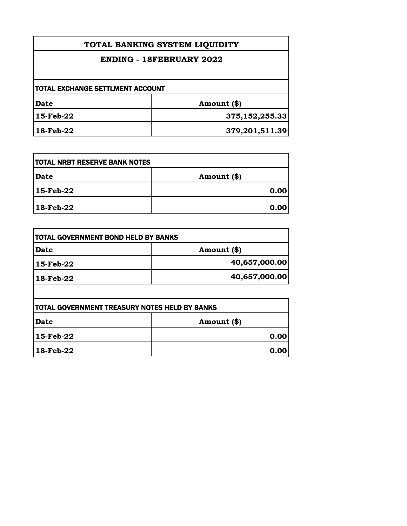| TOTAL BANKING SYSTEM LIQUIDITY<br><b>ENDING - 18FEBRUARY 2022</b> |                |
|-------------------------------------------------------------------|----------------|
|                                                                   |                |
| <b>TOTAL EXCHANGE SETTLMENT ACCOUNT</b>                           |                |
| Date                                                              | Amount (\$)    |
| 15-Feb-22                                                         | 375,152,255.33 |
| 18-Feb-22                                                         | 379,201,511.39 |

| <b>TOTAL NRBT RESERVE BANK NOTES</b> |             |
|--------------------------------------|-------------|
| Date                                 | Amount (\$) |
| 15-Feb-22                            | 0.00        |
| 18-Feb-22                            | 0.00        |

| <b>ITOTAL GOVERNMENT BOND HELD BY BANKS</b> |               |
|---------------------------------------------|---------------|
| Date                                        | Amount (\$)   |
| 15-Feb-22                                   | 40,657,000.00 |
| 18-Feb-22                                   | 40,657,000.00 |
|                                             |               |

| <b>TOTAL GOVERNMENT TREASURY NOTES HELD BY BANKS</b> |             |
|------------------------------------------------------|-------------|
| Date                                                 | Amount (\$) |
| 15-Feb-22                                            | 0.00        |
| $ 18$ -Feb-22                                        | 0.00        |